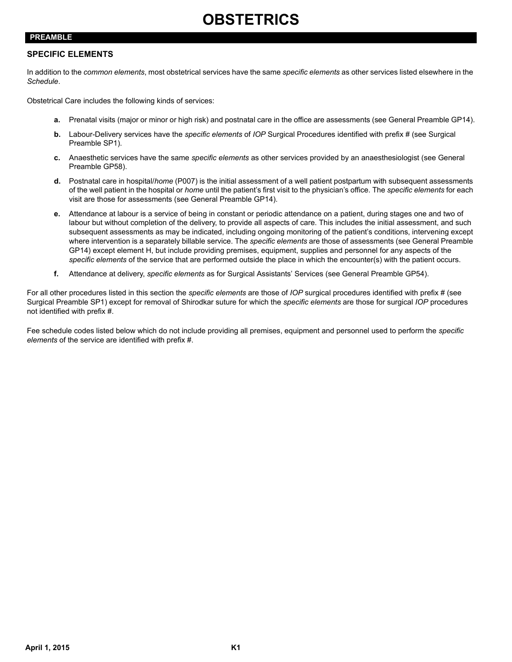## **PREAMBLE**

## **SPECIFIC ELEMENTS**

In addition to the *common elements*, most obstetrical services have the same *specific elements* as other services listed elsewhere in the *Schedule*.

Obstetrical Care includes the following kinds of services:

- **a.** Prenatal visits (major or minor or high risk) and postnatal care in the office are assessments (see General Preamble GP14).
- **b.** Labour-Delivery services have the *specific elements* of *IOP* Surgical Procedures identified with prefix # (see Surgical Preamble SP1).
- **c.** Anaesthetic services have the same *specific elements* as other services provided by an anaesthesiologist (see General Preamble GP58).
- **d.** Postnatal care in hospital/*home* (P007) is the initial assessment of a well patient postpartum with subsequent assessments of the well patient in the hospital or *home* until the patient's first visit to the physician's office. The *specific elements* for each visit are those for assessments (see General Preamble GP14).
- <span id="page-0-0"></span>**e.** Attendance at labour is a service of being in constant or periodic attendance on a patient, during stages one and two of labour but without completion of the delivery, to provide all aspects of care. This includes the initial assessment, and such subsequent assessments as may be indicated, including ongoing monitoring of the patient's conditions, intervening except where intervention is a separately billable service. The *specific elements* are those of assessments (see General Preamble GP14) except element H, but include providing premises, equipment, supplies and personnel for any aspects of the *specific elements* of the service that are performed outside the place in which the encounter(s) with the patient occurs.
- **f.** Attendance at delivery, *specific elements* as for Surgical Assistants' Services (see General Preamble GP54).

For all other procedures listed in this section the *specific elements* are those of *IOP* surgical procedures identified with prefix # (see Surgical Preamble SP1) except for removal of Shirodkar suture for which the *specific elements* are those for surgical *IOP* procedures not identified with prefix #.

Fee schedule codes listed below which do not include providing all premises, equipment and personnel used to perform the *specific elements* of the service are identified with prefix #.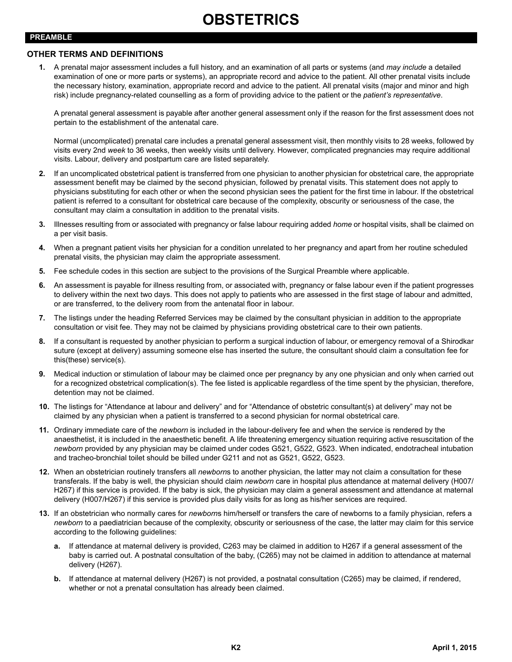## **PREAMBLE**

## **OTHER TERMS AND DEFINITIONS**

**1.** A prenatal major assessment includes a full history, and an examination of all parts or systems (and *may include* a detailed examination of one or more parts or systems), an appropriate record and advice to the patient. All other prenatal visits include the necessary history, examination, appropriate record and advice to the patient. All prenatal visits (major and minor and high risk) include pregnancy-related counselling as a form of providing advice to the patient or the *patient's representative*.

A prenatal general assessment is payable after another general assessment only if the reason for the first assessment does not pertain to the establishment of the antenatal care.

Normal (uncomplicated) prenatal care includes a prenatal general assessment visit, then monthly visits to 28 weeks, followed by visits every 2nd *week* to 36 weeks, then weekly visits until delivery. However, complicated pregnancies may require additional visits. Labour, delivery and postpartum care are listed separately.

- **2.** If an uncomplicated obstetrical patient is transferred from one physician to another physician for obstetrical care, the appropriate assessment benefit may be claimed by the second physician, followed by prenatal visits. This statement does not apply to physicians substituting for each other or when the second physician sees the patient for the first time in labour. If the obstetrical patient is referred to a consultant for obstetrical care because of the complexity, obscurity or seriousness of the case, the consultant may claim a consultation in addition to the prenatal visits.
- **3.** Illnesses resulting from or associated with pregnancy or false labour requiring added *home* or hospital visits, shall be claimed on a per visit basis.
- **4.** When a pregnant patient visits her physician for a condition unrelated to her pregnancy and apart from her routine scheduled prenatal visits, the physician may claim the appropriate assessment.
- **5.** Fee schedule codes in this section are subject to the provisions of the Surgical Preamble where applicable.
- **6.** An assessment is payable for illness resulting from, or associated with, pregnancy or false labour even if the patient progresses to delivery within the next two days. This does not apply to patients who are assessed in the first stage of labour and admitted, or are transferred, to the delivery room from the antenatal floor in labour.
- **7.** The listings under the heading Referred Services may be claimed by the consultant physician in addition to the appropriate consultation or visit fee. They may not be claimed by physicians providing obstetrical care to their own patients.
- **8.** If a consultant is requested by another physician to perform a surgical induction of labour, or emergency removal of a Shirodkar suture (except at delivery) assuming someone else has inserted the suture, the consultant should claim a consultation fee for this(these) service(s).
- **9.** Medical induction or stimulation of labour may be claimed once per pregnancy by any one physician and only when carried out for a recognized obstetrical complication(s). The fee listed is applicable regardless of the time spent by the physician, therefore, detention may not be claimed.
- **10.** The listings for "Attendance at labour and delivery" and for "Attendance of obstetric consultant(s) at delivery" may not be claimed by any physician when a patient is transferred to a second physician for normal obstetrical care.
- **11.** Ordinary immediate care of the *newborn* is included in the labour-delivery fee and when the service is rendered by the anaesthetist, it is included in the anaesthetic benefit. A life threatening emergency situation requiring active resuscitation of the *newborn* provided by any physician may be claimed under codes G521, G522, G523. When indicated, endotracheal intubation and tracheo-bronchial toilet should be billed under G211 and not as G521, G522, G523.
- **12.** When an obstetrician routinely transfers all *newborn*s to another physician, the latter may not claim a consultation for these transferals. If the baby is well, the physician should claim *newborn* care in hospital plus attendance at maternal delivery (H007/ H267) if this service is provided. If the baby is sick, the physician may claim a general assessment and attendance at maternal delivery (H007/H267) if this service is provided plus daily visits for as long as his/her services are required.
- **13.** If an obstetrician who normally cares for *newborn*s him/herself or transfers the care of newborns to a family physician, refers a *newborn* to a paediatrician because of the complexity, obscurity or seriousness of the case, the latter may claim for this service according to the following guidelines:
	- **a.** If attendance at maternal delivery is provided, C263 may be claimed in addition to H267 if a general assessment of the baby is carried out. A postnatal consultation of the baby, (C265) may not be claimed in addition to attendance at maternal delivery (H267).
	- **b.** If attendance at maternal delivery (H267) is not provided, a postnatal consultation (C265) may be claimed, if rendered, whether or not a prenatal consultation has already been claimed.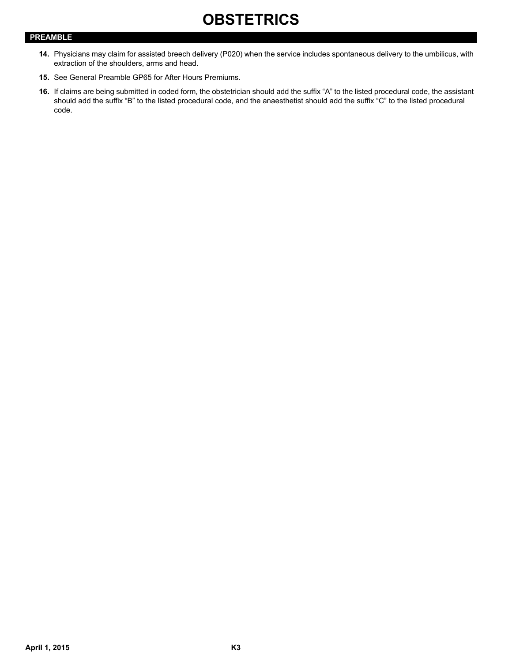## **PREAMBLE**

- **14.** Physicians may claim for assisted breech delivery (P020) when the service includes spontaneous delivery to the umbilicus, with extraction of the shoulders, arms and head.
- **15.** See General Preamble GP65 for After Hours Premiums.
- **16.** If claims are being submitted in coded form, the obstetrician should add the suffix "A" to the listed procedural code, the assistant should add the suffix "B" to the listed procedural code, and the anaesthetist should add the suffix "C" to the listed procedural code.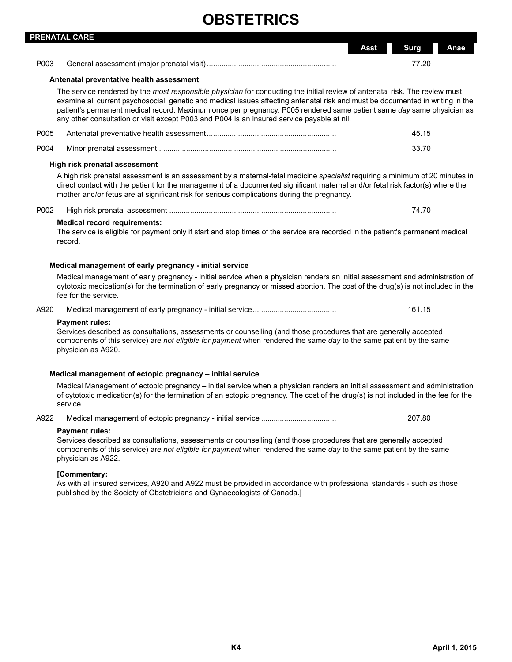|      | <b>PRENATAL CARE</b>                                                                                                                                                                                                                                                                                                                                                                                                                                                                 |                             |
|------|--------------------------------------------------------------------------------------------------------------------------------------------------------------------------------------------------------------------------------------------------------------------------------------------------------------------------------------------------------------------------------------------------------------------------------------------------------------------------------------|-----------------------------|
|      |                                                                                                                                                                                                                                                                                                                                                                                                                                                                                      | <b>Surg</b><br>Anae<br>Asst |
| P003 |                                                                                                                                                                                                                                                                                                                                                                                                                                                                                      | 77.20                       |
|      | Antenatal preventative health assessment                                                                                                                                                                                                                                                                                                                                                                                                                                             |                             |
|      | The service rendered by the most responsible physician for conducting the initial review of antenatal risk. The review must<br>examine all current psychosocial, genetic and medical issues affecting antenatal risk and must be documented in writing in the<br>patient's permanent medical record. Maximum once per pregnancy. P005 rendered same patient same day same physician as<br>any other consultation or visit except P003 and P004 is an insured service payable at nil. |                             |
| P005 |                                                                                                                                                                                                                                                                                                                                                                                                                                                                                      | 45.15                       |
| P004 |                                                                                                                                                                                                                                                                                                                                                                                                                                                                                      | 33.70                       |
|      | High risk prenatal assessment                                                                                                                                                                                                                                                                                                                                                                                                                                                        |                             |
|      | A high risk prenatal assessment is an assessment by a maternal-fetal medicine specialist requiring a minimum of 20 minutes in<br>direct contact with the patient for the management of a documented significant maternal and/or fetal risk factor(s) where the<br>mother and/or fetus are at significant risk for serious complications during the pregnancy.                                                                                                                        |                             |
| P002 |                                                                                                                                                                                                                                                                                                                                                                                                                                                                                      | 74.70                       |
|      | <b>Medical record requirements:</b><br>The service is eligible for payment only if start and stop times of the service are recorded in the patient's permanent medical<br>record.                                                                                                                                                                                                                                                                                                    |                             |
|      | Medical management of early pregnancy - initial service                                                                                                                                                                                                                                                                                                                                                                                                                              |                             |
|      | Medical management of early pregnancy - initial service when a physician renders an initial assessment and administration of<br>cytotoxic medication(s) for the termination of early pregnancy or missed abortion. The cost of the drug(s) is not included in the<br>fee for the service.                                                                                                                                                                                            |                             |
| A920 |                                                                                                                                                                                                                                                                                                                                                                                                                                                                                      | 161.15                      |
|      | <b>Payment rules:</b><br>Services described as consultations, assessments or counselling (and those procedures that are generally accepted<br>components of this service) are not eligible for payment when rendered the same day to the same patient by the same<br>physician as A920.                                                                                                                                                                                              |                             |
|      | Medical management of ectopic pregnancy - initial service                                                                                                                                                                                                                                                                                                                                                                                                                            |                             |
|      | Medical Management of ectopic pregnancy – initial service when a physician renders an initial assessment and administration<br>of cytotoxic medication(s) for the termination of an ectopic pregnancy. The cost of the drug(s) is not included in the fee for the<br>service.                                                                                                                                                                                                        |                             |
| A922 |                                                                                                                                                                                                                                                                                                                                                                                                                                                                                      | 207.80                      |
|      | <b>Payment rules:</b><br>Services described as consultations, assessments or counselling (and those procedures that are generally accepted<br>components of this service) are not eligible for payment when rendered the same day to the same patient by the same<br>physician as A922.                                                                                                                                                                                              |                             |
|      | [Commentary:<br>As with all insured services, A920 and A922 must be provided in accordance with professional standards - such as those<br>published by the Society of Obstetricians and Gynaecologists of Canada.]                                                                                                                                                                                                                                                                   |                             |
|      |                                                                                                                                                                                                                                                                                                                                                                                                                                                                                      |                             |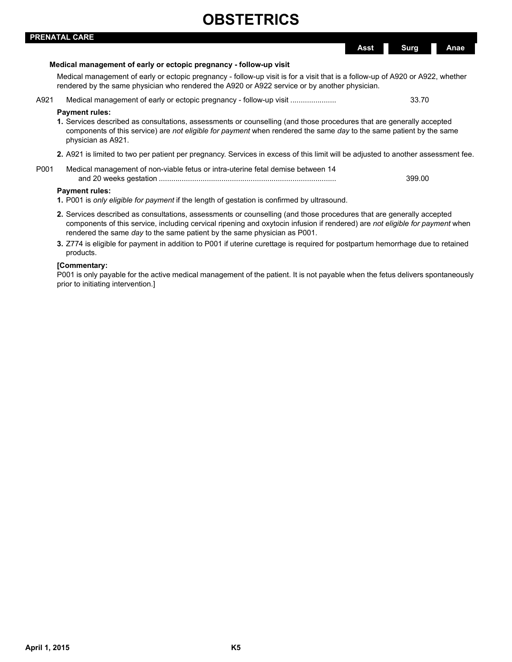|      | PRENATAL CARE                                                                                                                                                                                                                                                                                                                    |             |        |      |
|------|----------------------------------------------------------------------------------------------------------------------------------------------------------------------------------------------------------------------------------------------------------------------------------------------------------------------------------|-------------|--------|------|
|      |                                                                                                                                                                                                                                                                                                                                  | <b>Asst</b> | Surg   | Anae |
|      | Medical management of early or ectopic pregnancy - follow-up visit                                                                                                                                                                                                                                                               |             |        |      |
|      | Medical management of early or ectopic pregnancy - follow-up visit is for a visit that is a follow-up of A920 or A922, whether<br>rendered by the same physician who rendered the A920 or A922 service or by another physician.                                                                                                  |             |        |      |
| A921 | Medical management of early or ectopic pregnancy - follow-up visit                                                                                                                                                                                                                                                               |             | 33.70  |      |
|      | <b>Payment rules:</b><br>1. Services described as consultations, assessments or counselling (and those procedures that are generally accepted<br>components of this service) are not eligible for payment when rendered the same day to the same patient by the same<br>physician as A921.                                       |             |        |      |
|      | 2. A921 is limited to two per patient per pregnancy. Services in excess of this limit will be adjusted to another assessment fee.                                                                                                                                                                                                |             |        |      |
| P001 | Medical management of non-viable fetus or intra-uterine fetal demise between 14                                                                                                                                                                                                                                                  |             | 399.00 |      |
|      | <b>Payment rules:</b><br>1. P001 is only eligible for payment if the length of gestation is confirmed by ultrasound.                                                                                                                                                                                                             |             |        |      |
|      | 2. Services described as consultations, assessments or counselling (and those procedures that are generally accepted<br>components of this service, including cervical ripening and oxytocin infusion if rendered) are not eligible for payment when<br>rendered the same day to the same patient by the same physician as P001. |             |        |      |

**3.** Z774 is eligible for payment in addition to P001 if uterine curettage is required for postpartum hemorrhage due to retained products.

## **[Commentary:**

P001 is only payable for the active medical management of the patient. It is not payable when the fetus delivers spontaneously prior to initiating intervention.]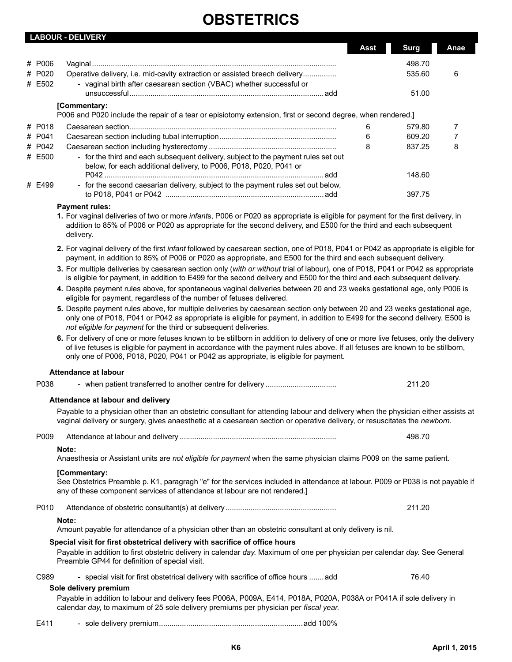|                  | <b>LADOUN - DLLIVENT</b>                                                                                                                                                                                                                                            | Asst | <b>Surg</b> | Anae |
|------------------|---------------------------------------------------------------------------------------------------------------------------------------------------------------------------------------------------------------------------------------------------------------------|------|-------------|------|
| # P006           |                                                                                                                                                                                                                                                                     |      | 498.70      |      |
| # P020<br># E502 | Operative delivery, i.e. mid-cavity extraction or assisted breech delivery<br>- vaginal birth after caesarean section (VBAC) whether successful or                                                                                                                  |      | 535.60      | 6    |
|                  |                                                                                                                                                                                                                                                                     |      | 51.00       |      |
|                  | [Commentary:<br>P006 and P020 include the repair of a tear or episiotomy extension, first or second degree, when rendered.                                                                                                                                          |      |             |      |
| # P018           |                                                                                                                                                                                                                                                                     | 6    | 579.80      |      |
| # P041           |                                                                                                                                                                                                                                                                     | 6    | 609.20      |      |
| # P042           |                                                                                                                                                                                                                                                                     | 8    | 837.25      | 8    |
| # E500           | - for the third and each subsequent delivery, subject to the payment rules set out<br>below, for each additional delivery, to P006, P018, P020, P041 or                                                                                                             |      |             |      |
|                  |                                                                                                                                                                                                                                                                     |      | 148.60      |      |
| # E499           | - for the second caesarian delivery, subject to the payment rules set out below,                                                                                                                                                                                    |      | 397.75      |      |
|                  | <b>Payment rules:</b>                                                                                                                                                                                                                                               |      |             |      |
|                  | 1. For vaginal deliveries of two or more infants, P006 or P020 as appropriate is eligible for payment for the first delivery, in<br>addition to 85% of P006 or P020 as appropriate for the second delivery, and E500 for the third and each subsequent<br>delivery. |      |             |      |
|                  | 2. For vaginal delivery of the first <i>infant</i> followed by caesarean section, one of P018, P041 or P042 as appropriate is eligible for                                                                                                                          |      |             |      |

payment, in addition to 85% of P006 or P020 as appropriate, and E500 for the third and each subsequent delivery. **3.** For multiple deliveries by caesarean section only (*with or without* trial of labour), one of P018, P041 or P042 as appropriate

is eligible for payment, in addition to E499 for the second delivery and E500 for the third and each subsequent delivery.

**4.** Despite payment rules above, for spontaneous vaginal deliveries between 20 and 23 weeks gestational age, only P006 is eligible for payment, regardless of the number of fetuses delivered.

- **5.** Despite payment rules above, for multiple deliveries by caesarean section only between 20 and 23 weeks gestational age, only one of P018, P041 or P042 as appropriate is eligible for payment, in addition to E499 for the second delivery. E500 is *not eligible for payment* for the third or subsequent deliveries.
- **6.** For delivery of one or more fetuses known to be stillborn in addition to delivery of one or more live fetuses, only the delivery of live fetuses is eligible for payment in accordance with the payment rules above. If all fetuses are known to be stillborn, only one of P006, P018, P020, P041 or P042 as appropriate, is eligible for payment.

### **Attendance at labour**

**LABOUR - DELIVERY**

| P038 |                                                                                                                                                                                                                                                                                                                             | 211.20 |
|------|-----------------------------------------------------------------------------------------------------------------------------------------------------------------------------------------------------------------------------------------------------------------------------------------------------------------------------|--------|
|      | Attendance at labour and delivery<br>Payable to a physician other than an obstetric consultant for attending labour and delivery when the physician either assists at<br>vaginal delivery or surgery, gives anaesthetic at a caesarean section or operative delivery, or resuscitates the newborn.                          |        |
| P009 | Note:<br>Anaesthesia or Assistant units are not eligible for payment when the same physician claims P009 on the same patient.                                                                                                                                                                                               | 498.70 |
|      | [Commentary:<br>See Obstetrics Preamble p. K1, paragragh "e" for the services included in attendance at labour. P009 or P038 is not payable if<br>any of these component services of attendance at labour are not rendered.                                                                                                 |        |
| P010 | Note:<br>Amount payable for attendance of a physician other than an obstetric consultant at only delivery is nil.                                                                                                                                                                                                           | 211.20 |
|      | Special visit for first obstetrical delivery with sacrifice of office hours<br>Payable in addition to first obstetric delivery in calendar day. Maximum of one per physician per calendar day. See General<br>Preamble GP44 for definition of special visit.                                                                |        |
| C989 | - special visit for first obstetrical delivery with sacrifice of office hours  add<br>Sole delivery premium<br>Payable in addition to labour and delivery fees P006A, P009A, E414, P018A, P020A, P038A or P041A if sole delivery in<br>calendar day, to maximum of 25 sole delivery premiums per physician per fiscal year. | 76.40  |
| E411 |                                                                                                                                                                                                                                                                                                                             |        |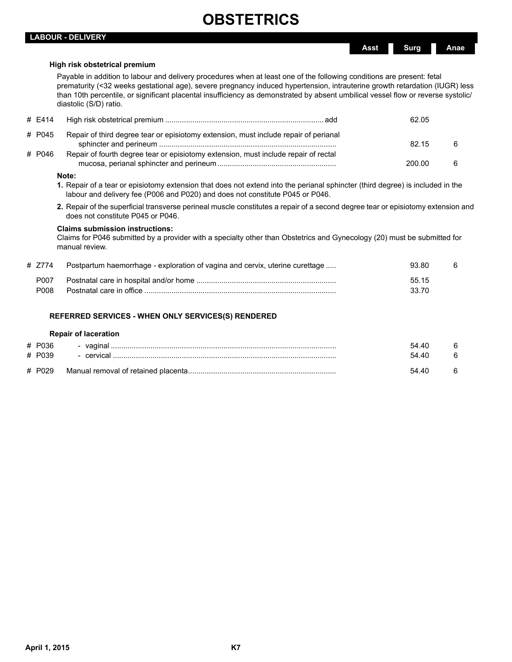## **LABOUR - DELIVERY**

### **High risk obstetrical premium**

Payable in addition to labour and delivery procedures when at least one of the following conditions are present: fetal prematurity (<32 weeks gestational age), severe pregnancy induced hypertension, intrauterine growth retardation (IUGR) less than 10th percentile, or significant placental insufficiency as demonstrated by absent umbilical vessel flow or reverse systolic/ diastolic (S/D) ratio.

| # E414 |                                                                                      | 62.05  |   |
|--------|--------------------------------------------------------------------------------------|--------|---|
| # P045 | Repair of third degree tear or episiotomy extension, must include repair of perianal | 82.15  | 6 |
| # P046 | Repair of fourth degree tear or episiotomy extension, must include repair of rectal  | 200.00 | 6 |
|        |                                                                                      |        |   |

#### **Note:**

- **1.** Repair of a tear or episiotomy extension that does not extend into the perianal sphincter (third degree) is included in the labour and delivery fee (P006 and P020) and does not constitute P045 or P046.
- **2.** Repair of the superficial transverse perineal muscle constitutes a repair of a second degree tear or episiotomy extension and does not constitute P045 or P046.

### **Claims submission instructions:**

Claims for P046 submitted by a provider with a specialty other than Obstetrics and Gynecology (20) must be submitted for manual review.

| # Z774            | Postpartum haemorrhage - exploration of vagina and cervix, uterine curettage | 93.80 | 6 |
|-------------------|------------------------------------------------------------------------------|-------|---|
| P <sub>00</sub> 7 |                                                                              | 55.15 |   |
| P008              |                                                                              | 33.70 |   |

## **REFERRED SERVICES - WHEN ONLY SERVICES(S) RENDERED**

#### **Repair of laceration**

| # P036 | - vaginal  | 54 40 |  |
|--------|------------|-------|--|
| # P039 | - cervical | 54 40 |  |
| # P029 |            | 54 40 |  |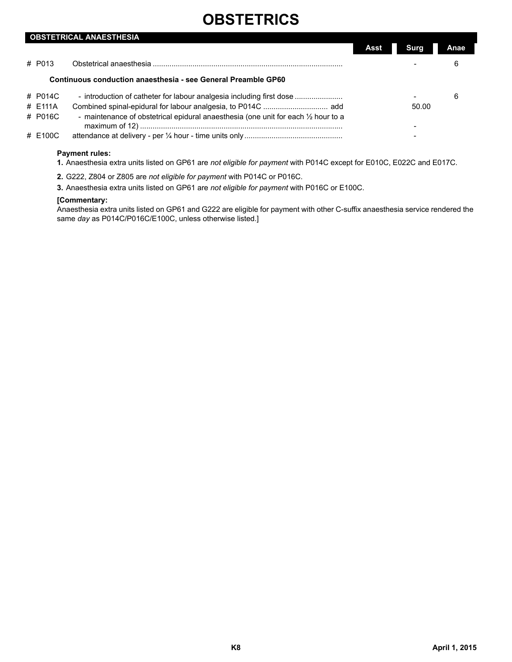|         | <b>OBSTETRICAL ANAESTHESIA</b>                                                     |      |       |      |
|---------|------------------------------------------------------------------------------------|------|-------|------|
|         |                                                                                    | Assi | Sura  | Anae |
| # P013  |                                                                                    |      |       | 6    |
|         | Continuous conduction anaesthesia - see General Preamble GP60                      |      |       |      |
| # P014C |                                                                                    |      |       | 6    |
| # E111A |                                                                                    |      | 50.00 |      |
| # P016C | - maintenance of obstetrical epidural anaesthesia (one unit for each 1/2 hour to a |      |       |      |
|         |                                                                                    |      |       |      |
| # E100C |                                                                                    |      |       |      |
|         |                                                                                    |      |       |      |

## **Payment rules:**

**1.** Anaesthesia extra units listed on GP61 are *not eligible for payment* with P014C except for E010C, E022C and E017C.

- **2.** G222, Z804 or Z805 are *not eligible for payment* with P014C or P016C.
- **3.** Anaesthesia extra units listed on GP61 are *not eligible for payment* with P016C or E100C.

### **[Commentary:**

Anaesthesia extra units listed on GP61 and G222 are eligible for payment with other C-suffix anaesthesia service rendered the same *day* as P014C/P016C/E100C, unless otherwise listed.]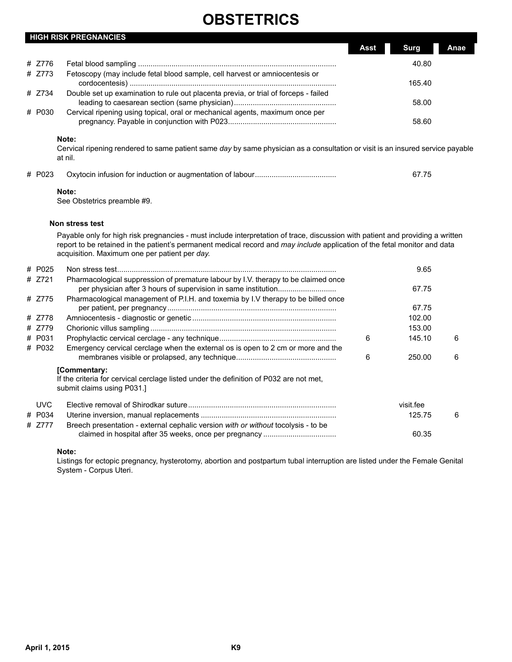|        |              | <b>HIGH RISK PREGNANCIES</b>                                                                                                                                                                                                                                                                                 |                                    |
|--------|--------------|--------------------------------------------------------------------------------------------------------------------------------------------------------------------------------------------------------------------------------------------------------------------------------------------------------------|------------------------------------|
|        |              |                                                                                                                                                                                                                                                                                                              | <b>Surg</b><br><b>Asst</b><br>Anae |
| #      | 7776         |                                                                                                                                                                                                                                                                                                              | 40.80                              |
|        | # Z773       | Fetoscopy (may include fetal blood sample, cell harvest or amniocentesis or                                                                                                                                                                                                                                  | 165.40                             |
|        | # Z734       | Double set up examination to rule out placenta previa, or trial of forceps - failed                                                                                                                                                                                                                          | 58.00                              |
|        | # P030       | Cervical ripening using topical, oral or mechanical agents, maximum once per                                                                                                                                                                                                                                 | 58.60                              |
|        | # P023       | Cervical ripening rendered to same patient same day by same physician as a consultation or visit is an insured service payable<br>at nil.                                                                                                                                                                    | 67.75                              |
|        |              | Note:<br>See Obstetrics preamble #9.                                                                                                                                                                                                                                                                         |                                    |
|        |              | Non stress test                                                                                                                                                                                                                                                                                              |                                    |
|        |              | Payable only for high risk pregnancies - must include interpretation of trace, discussion with patient and providing a written<br>report to be retained in the patient's permanent medical record and may include application of the fetal monitor and data<br>acquisition. Maximum one per patient per day. |                                    |
| #<br># | P025<br>Z721 | Pharmacological suppression of premature labour by I.V. therapy to be claimed once                                                                                                                                                                                                                           | 9.65                               |

| # 7721     | Pharmacological suppression of premature labour by I.V. therapy to be claimed once                                                  |   | 67.75     |   |
|------------|-------------------------------------------------------------------------------------------------------------------------------------|---|-----------|---|
| # Z775     | Pharmacological management of P.I.H. and toxemia by I.V therapy to be billed once                                                   |   | 67.75     |   |
| # Z778     |                                                                                                                                     |   | 102.00    |   |
| # Z779     |                                                                                                                                     |   | 153.00    |   |
| # P031     |                                                                                                                                     | 6 | 145.10    | 6 |
| # P032     | Emergency cervical cerclage when the external os is open to 2 cm or more and the                                                    |   |           |   |
|            |                                                                                                                                     | 6 | 250.00    | 6 |
|            | [Commentary:<br>If the criteria for cervical cerclage listed under the definition of P032 are not met,<br>submit claims using P031. |   |           |   |
| <b>UVC</b> |                                                                                                                                     |   | visit.fee |   |
| # P034     |                                                                                                                                     |   | 125.75    | 6 |
| # 7777     | Breech presentation - external cephalic version with or without tocolysis - to be                                                   |   |           |   |
|            |                                                                                                                                     |   | 60.35     |   |

**Note:**

Listings for ectopic pregnancy, hysterotomy, abortion and postpartum tubal interruption are listed under the Female Genital System - Corpus Uteri.